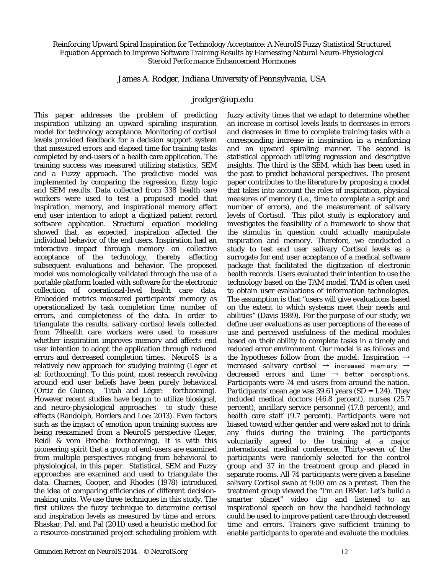## Reinforcing Upward Spiral Inspiration for Technology Acceptance: A NeuroIS Fuzzy Statistical Structured Equation Approach to Improve Software Training Results by Harnessing Natural Neuro-Physiological Steroid Performance Enhancement Hormones

James A. Rodger, Indiana University of Pennsylvania, USA

## *[jrodger@iup.edu](mailto:jrodger@iup.edu)*

This paper addresses the problem of predicting inspiration utilizing an upward spiraling inspiration model for technology acceptance. Monitoring of cortisol levels provided feedback for a decision support system that measured errors and elapsed time for training tasks completed by end-users of a health care application. The training success was measured utilizing statistics, SEM and a Fuzzy approach. The predictive model was implemented by comparing the regression, fuzzy logic and SEM results. Data collected from 338 health care workers were used to test a proposed model that inspiration, memory, and inspirational memory affect end user intention to adopt a digitized patient record software application. Structural equation modeling showed that, as expected, inspiration affected the individual behavior of the end users. Inspiration had an interactive impact through memory on collective acceptance of the technology, thereby affecting subsequent evaluations and behavior. The proposed model was nomologically validated through the use of a portable platform loaded with software for the electronic collection of operational-level health care data. Embedded metrics measured participants' memory as operationalized by task completion time, number of errors, and completeness of the data. In order to triangulate the results, salivary cortisol levels collected from 74health care workers were used to measure whether inspiration improves memory and affects end user intention to adopt the application through reduced errors and decreased completion times. NeuroIS is a relatively new approach for studying training (Leger et al: forthcoming). To this point, most research revolving around end user beliefs have been purely behavioral (Ortiz de Guinea, Titah and Léger: forthcoming). However recent studies have begun to utilize biosignal, and neuro-physiological approaches to study these effects (Randolph, Borders and Loe: 2013). Even factors such as the impact of emotion upon training success are being reexamined from a NeuroIS perspective (Leger, Reidl & vom Broche: forthcoming). It is with this pioneering spirit that a group of end-users are examined from multiple perspectives ranging from behavioral to physiological, in this paper. Statistical, SEM and Fuzzy approaches are examined and used to triangulate the data. Charnes, Cooper, and Rhodes (1978) introduced the idea of comparing efficiencies of different decisionmaking units. We use three techniques in this study. The first utilizes the fuzzy technique to determine cortisol and inspiration levels as measured by time and errors. Bhaskar, Pal, and Pal (2011) used a heuristic method for a resource-constrained project scheduling problem with

fuzzy activity times that we adapt to determine whether an increase in cortisol levels leads to decreases in errors and decreases in time to complete training tasks with a corresponding increase in inspiration in a reinforcing and an upward spiraling manner. The second is statistical approach utilizing regression and descriptive insights. The third is the SEM, which has been used in the past to predict behavioral perspectives. The present paper contributes to the literature by proposing a model that takes into account the roles of inspiration, physical measures of memory (i.e., time to complete a script and number of errors), and the measurement of salivary levels of Cortisol. This pilot study is exploratory and investigates the feasibility of a framework to show that the stimulus in question could actually manipulate inspiration and memory. Therefore, we conducted a study to test end user salivary Cortisol levels as a surrogate for end user acceptance of a medical software package that facilitated the digitization of electronic health records. Users evaluated their intention to use the technology based on the TAM model. TAM is often used to obtain user evaluations of information technologies. The assumption is that "users will give evaluations based on the extent to which systems meet their needs and abilities" (Davis 1989). For the purpose of our study, we define user evaluations as user perceptions of the ease of use and perceived usefulness of the medical modules based on their ability to complete tasks in a timely and reduced error environment. Our model is as follows and the hypotheses follow from the model: Inspiration  $\rightarrow$ increased salivary cortisol  $\rightarrow$  increased memory  $\rightarrow$ decreased errors and time  $\rightarrow$  better perceptions. Participants were 74 end users from around the nation. Participants' mean age was  $39.61$  years (SD = 1.24). They included medical doctors (46.8 percent), nurses (25.7 percent), ancillary service personnel (17.8 percent), and health care staff (9.7 percent). Participants were not biased toward either gender and were asked not to drink any fluids during the training. The participants voluntarily agreed to the training at a major international medical conference. Thirty-seven of the participants were randomly selected for the control group and 37 in the treatment group and placed in separate rooms. All 74 participants were given a baseline salivary Cortisol swab at 9:00 am as a pretest. Then the treatment group viewed the "I'm an IBMer. Let's build a smarter planet" video clip and listened to an inspirational speech on how the handheld technology could be used to improve patient care through decreased time and errors. Trainers gave sufficient training to enable participants to operate and evaluate the modules.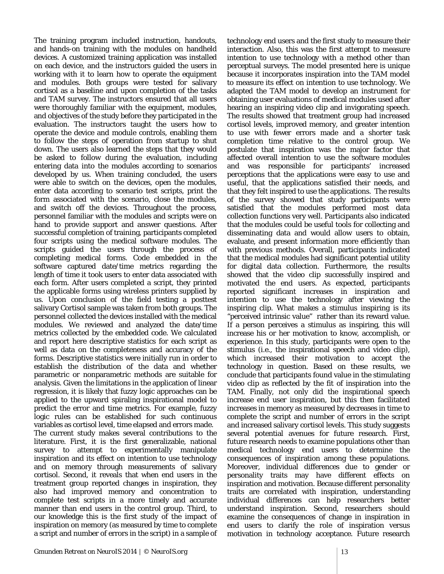The training program included instruction, handouts, and hands-on training with the modules on handheld devices. A customized training application was installed on each device, and the instructors guided the users in working with it to learn how to operate the equipment and modules. Both groups were tested for salivary cortisol as a baseline and upon completion of the tasks and TAM survey. The instructors ensured that all users were thoroughly familiar with the equipment, modules, and objectives of the study before they participated in the evaluation. The instructors taught the users how to operate the device and module controls, enabling them to follow the steps of operation from startup to shut down. The users also learned the steps that they would be asked to follow during the evaluation, including entering data into the modules according to scenarios developed by us. When training concluded, the users were able to switch on the devices, open the modules, enter data according to scenario test scripts, print the form associated with the scenario, close the modules, and switch off the devices. Throughout the process, personnel familiar with the modules and scripts were on hand to provide support and answer questions. After successful completion of training, participants completed four scripts using the medical software modules. The scripts guided the users through the process of completing medical forms. Code embedded in the software captured date/time metrics regarding the length of time it took users to enter data associated with each form. After users completed a script, they printed the applicable forms using wireless printers supplied by us. Upon conclusion of the field testing a posttest salivary Cortisol sample was taken from both groups. The personnel collected the devices installed with the medical modules. We reviewed and analyzed the date/time metrics collected by the embedded code. We calculated and report here descriptive statistics for each script as well as data on the completeness and accuracy of the forms. Descriptive statistics were initially run in order to establish the distribution of the data and whether parametric or nonparametric methods are suitable for analysis. Given the limitations in the application of linear regression, it is likely that fuzzy logic approaches can be applied to the upward spiraling inspirational model to predict the error and time metrics. For example, fuzzy logic rules can be established for such continuous variables as cortisol level, time elapsed and errors made. The current study makes several contributions to the literature. First, it is the first generalizable, national survey to attempt to experimentally manipulate inspiration and its effect on intention to use technology and on memory through measurements of salivary cortisol. Second, it reveals that when end users in the treatment group reported changes in inspiration, they also had improved memory and concentration to complete test scripts in a more timely and accurate manner than end users in the control group. Third, to our knowledge this is the first study of the impact of inspiration on memory (as measured by time to complete a script and number of errors in the script) in a sample of technology end users and the first study to measure their interaction. Also, this was the first attempt to measure intention to use technology with a method other than perceptual surveys. The model presented here is unique because it incorporates inspiration into the TAM model to measure its effect on intention to use technology. We adapted the TAM model to develop an instrument for obtaining user evaluations of medical modules used after hearing an inspiring video clip and invigorating speech. The results showed that treatment group had increased cortisol levels, improved memory, and greater intention to use with fewer errors made and a shorter task completion time relative to the control group. We postulate that inspiration was the major factor that affected overall intention to use the software modules and was responsible for participants' increased perceptions that the applications were easy to use and useful, that the applications satisfied their needs, and that they felt inspired to use the applications. The results of the survey showed that study participants were satisfied that the modules performed most data collection functions very well. Participants also indicated that the modules could be useful tools for collecting and disseminating data and would allow users to obtain, evaluate, and present information more efficiently than with previous methods. Overall, participants indicated that the medical modules had significant potential utility for digital data collection. Furthermore, the results showed that the video clip successfully inspired and motivated the end users. As expected, participants reported significant increases in inspiration and intention to use the technology after viewing the inspiring clip. What makes a stimulus inspiring is its "perceived intrinsic value" rather than its reward value. If a person perceives a stimulus as inspiring, this will increase his or her motivation to know, accomplish, or experience. In this study, participants were open to the stimulus (i.e., the inspirational speech and video clip), which increased their motivation to accept the technology in question. Based on these results, we conclude that participants found value in the stimulating video clip as reflected by the fit of inspiration into the TAM. Finally, not only did the inspirational speech increase end user inspiration, but this then facilitated increases in memory as measured by decreases in time to complete the script and number of errors in the script and increased salivary cortisol levels. This study suggests several potential avenues for future research. First, future research needs to examine populations other than medical technology end users to determine the consequences of inspiration among these populations. Moreover, individual differences due to gender or personality traits may have different effects on inspiration and motivation. Because different personality traits are correlated with inspiration, understanding individual differences can help researchers better understand inspiration. Second, researchers should examine the consequences of change in inspiration in end users to clarify the role of inspiration versus motivation in technology acceptance. Future research